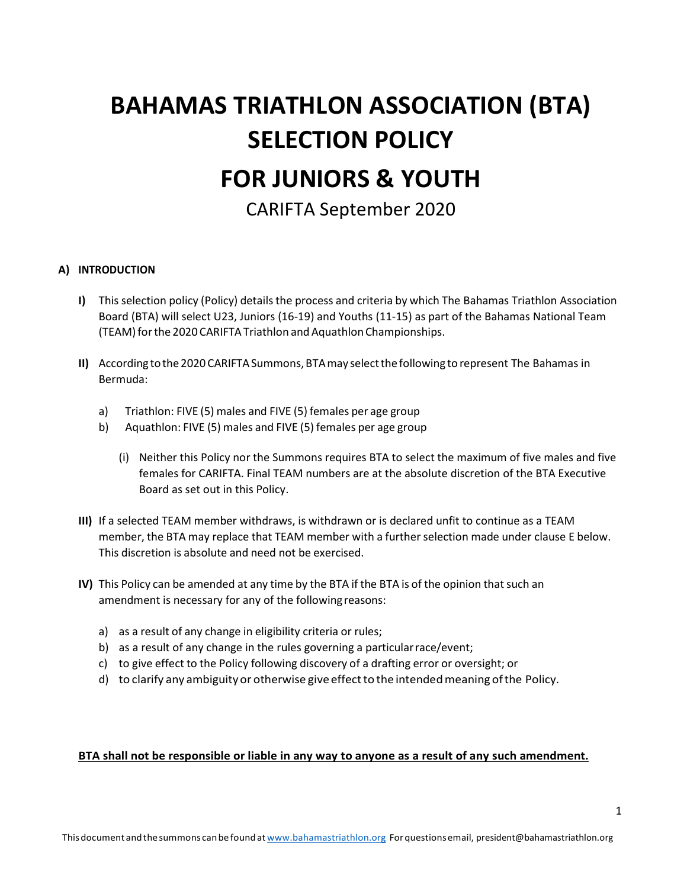# BAHAMAS TRIATHLON ASSOCIATION (BTA) SELECTION POLICY FOR JUNIORS & YOUTH

CARIFTA September 2020

# A) INTRODUCTION

- I) This selection policy (Policy) details the process and criteria by which The Bahamas Triathlon Association Board (BTA) will select U23, Juniors (16-19) and Youths (11-15) as part of the Bahamas National Team (TEAM) for the 2020 CARIFTA Triathlon and Aquathlon Championships.
- II) According to the 2020 CARIFTA Summons, BTA may select the following to represent The Bahamas in Bermuda:
	- a) Triathlon: FIVE (5) males and FIVE (5) females per age group
	- b) Aquathlon: FIVE (5) males and FIVE (5) females per age group
		- (i) Neither this Policy nor the Summons requires BTA to select the maximum of five males and five females for CARIFTA. Final TEAM numbers are at the absolute discretion of the BTA Executive Board as set out in this Policy.
- III) If a selected TEAM member withdraws, is withdrawn or is declared unfit to continue as a TEAM member, the BTA may replace that TEAM member with a further selection made under clause E below. This discretion is absolute and need not be exercised.
- IV) This Policy can be amended at any time by the BTA if the BTA is of the opinion that such an amendment is necessary for any of the following reasons:
	- a) as a result of any change in eligibility criteria or rules;
	- b) as a result of any change in the rules governing a particular race/event;
	- c) to give effect to the Policy following discovery of a drafting error or oversight; or
	- d) to clarify any ambiguity or otherwise give effect to the intended meaning of the Policy.

#### BTA shall not be responsible or liable in any way to anyone as a result of any such amendment.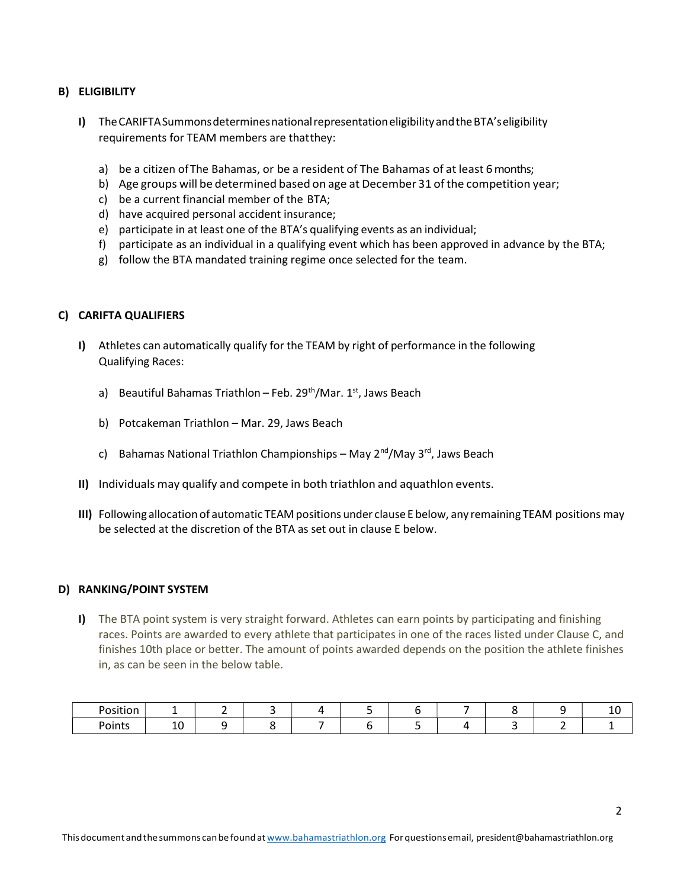# B) ELIGIBILITY

- I) The CARIFTA Summons determines national representation eligibility and the BTA's eligibility requirements for TEAM members are that they:
	- a) be a citizen of The Bahamas, or be a resident of The Bahamas of at least 6 months;
	- b) Age groups will be determined based on age at December 31 of the competition year;
	- c) be a current financial member of the BTA;
	- d) have acquired personal accident insurance;
	- e) participate in at least one of the BTA's qualifying events as an individual;
	- f) participate as an individual in a qualifying event which has been approved in advance by the BTA;
	- g) follow the BTA mandated training regime once selected for the team.

### C) CARIFTA QUALIFIERS

- I) Athletes can automatically qualify for the TEAM by right of performance in the following Qualifying Races:
	- a) Beautiful Bahamas Triathlon Feb. 29<sup>th</sup>/Mar. 1<sup>st</sup>, Jaws Beach
	- b) Potcakeman Triathlon Mar. 29, Jaws Beach
	- c) Bahamas National Triathlon Championships May  $2^{nd}/M$ ay  $3^{rd}$ , Jaws Beach
- II) Individuals may qualify and compete in both triathlon and aquathlon events.
- III) Following allocation of automatic TEAM positions under clause E below, any remaining TEAM positions may be selected at the discretion of the BTA as set out in clause E below.

#### D) RANKING/POINT SYSTEM

I) The BTA point system is very straight forward. Athletes can earn points by participating and finishing races. Points are awarded to every athlete that participates in one of the races listed under Clause C, and finishes 10th place or better. The amount of points awarded depends on the position the athlete finishes in, as can be seen in the below table.

| .<br><b>Docition</b><br>_ _ _ _ |          |  |  |  |  | . |
|---------------------------------|----------|--|--|--|--|---|
| Points                          | . .<br>ᆚ |  |  |  |  |   |